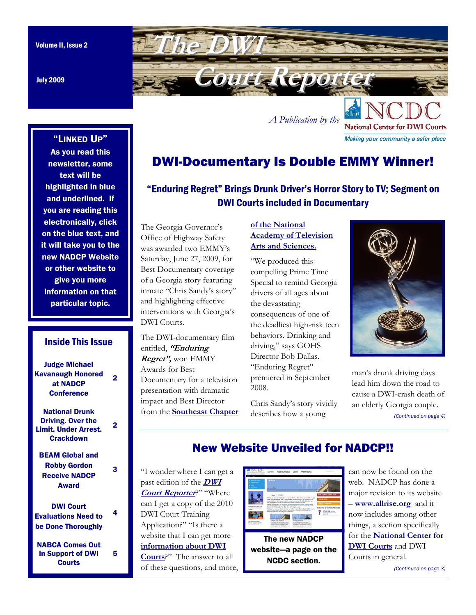July 2009

<span id="page-0-0"></span>

*A Publication by the* 

# DWI-Documentary Is Double EMMY Winner!

# "Enduring Regret" Brings Drunk Driver's Horror Story to TV; Segment on DWI Courts included in Documentary

The Georgia Governor's Office of Highway Safety was awarded two EMMY's Saturday, June 27, 2009, for Best Documentary coverage of a Georgia story featuring inmate "Chris Sandy's story" and highlighting effective interventions with Georgia's DWI Courts.

The DWI-documentary film entitled, **"Enduring Regret",** won EMMY Awards for Best Documentary for a television presentation with dramatic impact and Best Director from the **[Southeast Chapter](https://www.southeastemmy.com/)** 

### **of the National [Academy of Television](https://www.southeastemmy.com/)  Arts and Sciences.**

"We produced this compelling Prime Time Special to remind Georgia drivers of all ages about the devastating consequences of one of the deadliest high-risk teen behaviors. Drinking and driving," says GOHS Director Bob Dallas. "Enduring Regret" premiered in September 2008.

Chris Sandy's story vividly describes how a young



**National Center for DWI Courts** Making your community a safer place

man's drunk driving days lead him down the road to cause a DWI-crash death of an elderly Georgia couple. *[\(Continued on page 4\)](#page-3-0)* 

# New Website Unveiled for NADCP!!

"I wonder where I can get a [past edition of the](http://www.dwicourts.org/resources/newsletter) **DWI Court Reporter**?" "Where can I get a copy of the 2010 DWI Court Training Application?" "Is there a website that I can get more **[information about DWI](http://www.dwicourts.org/learn/about-dwi-courts)  Courts**?" The answer to all of these questions, and more,



The new NADCP website—a page on the NCDC section.

can now be found on the web. NADCP has done a major revision to its website – **www.allrise.org** and it now includes among other things, a section specifically for the **[National Center for](http://www.dwicourts.org/learn/about-ncdc) DWI Courts** and DWI Courts in general.

*[\(Continued on page 3\)](#page-2-0)* 

### "LINKED UP"

As you read this newsletter, some text will be highlighted in blue and underlined. If you are reading this electronically, click on the blue text, and it will take you to the new NADCP Website or other website to give you more information on that particular topic.

### Inside This Issue

Judge Michael [Kavanaugh Honored](#page-1-0)  at NADCP **Conference** 2

National Drunk Driving. Over the [Limit. Under Arrest.](#page-1-0)  **Crackdown** 

2

3

4

5

[BEAM Global and](#page-2-0)  Robby Gordon Receive NADCP Award

DWI Court [Evaluations Need to](#page-3-0)  be Done Thoroughly

[NABCA Comes Out](#page-4-0)  in Support of DWI **Courts**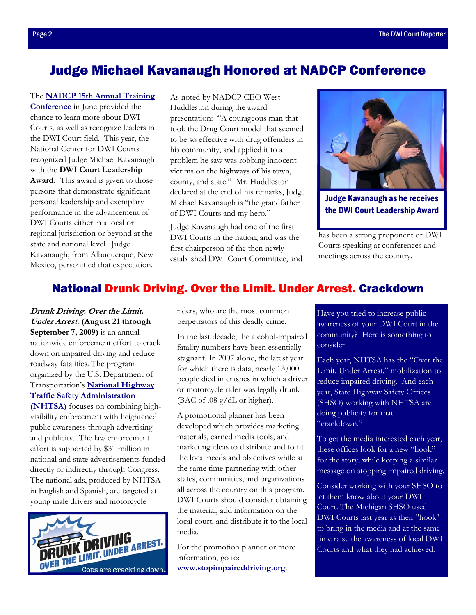## <span id="page-1-0"></span>Judge Michael Kavanaugh Honored at NADCP Conference

The **NADCP 15th Annual Training Conference** in June provided the chance to learn more about DWI Courts, as well as recognize leaders in the DWI Court field. This year, the National Center for DWI Courts recognized Judge Michael Kavanaugh with the **DWI Court Leadership Award.** This award is given to those persons that demonstrate significant personal leadership and exemplary performance in the advancement of DWI Courts either in a local or regional jurisdiction or beyond at the state and national level. Judge Kavanaugh, from Albuquerque, New Mexico, personified that expectation.

As noted by NADCP CEO West Huddleston during the award presentation: "A courageous man that took the Drug Court model that seemed to be so effective with drug offenders in his community, and applied it to a problem he saw was robbing innocent victims on the highways of his town, county, and state." Mr. Huddleston declared at the end of his remarks, Judge Michael Kavanaugh is "the grandfather of DWI Courts and my hero."

Judge Kavanaugh had one of the first DWI Courts in the nation, and was the first chairperson of the then newly established DWI Court Committee, and



Judge Kavanaugh as he receives the DWI Court Leadership Award

has been a strong proponent of DWI Courts speaking at conferences and meetings across the country.

## National Drunk Driving. Over the Limit. Under Arrest. Crackdown

**Drunk Driving. Over the Limit. Under Arrest. (August 21 through September 7, 2009)** is an annual nationwide enforcement effort to crack down on impaired driving and reduce roadway fatalities. The program organized by the U.S. Department of Transportation's **National Highway [Traffic Safety Administration](http://www.nhtsa.gov/)  (NHTSA)** focuses on combining highvisibility enforcement with heightened public awareness through advertising and publicity. The law enforcement effort is supported by \$31 million in national and state advertisements funded directly or indirectly through Congress. The national ads, produced by NHTSA in English and Spanish, are targeted at young male drivers and motorcycle



riders, who are the most common perpetrators of this deadly crime.

In the last decade, the alcohol-impaired fatality numbers have been essentially stagnant. In 2007 alone, the latest year for which there is data, nearly 13,000 people died in crashes in which a driver or motorcycle rider was legally drunk (BAC of .08 g/dL or higher).

A promotional planner has been developed which provides marketing materials, earned media tools, and marketing ideas to distribute and to fit the local needs and objectives while at the same time partnering with other states, communities, and organizations all across the country on this program. DWI Courts should consider obtaining the material, add information on the local court, and distribute it to the local media.

For the promotion planner or more information, go to: **[www.stopimpaireddriving.org](http://www.stopimpaireddriving.org/)**.

Have you tried to increase public awareness of your DWI Court in the community? Here is something to consider:

Each year, NHTSA has the "Over the Limit. Under Arrest." mobilization to reduce impaired driving. And each year, State Highway Safety Offices (SHSO) working with NHTSA are doing publicity for that "crackdown."

To get the media interested each year, these offices look for a new "hook" for the story, while keeping a similar message on stopping impaired driving.

Consider working with your SHSO to let them know about your DWI Court. The Michigan SHSO used DWI Courts last year as their "hook" to bring in the media and at the same time raise the awareness of local DWI Courts and what they had achieved.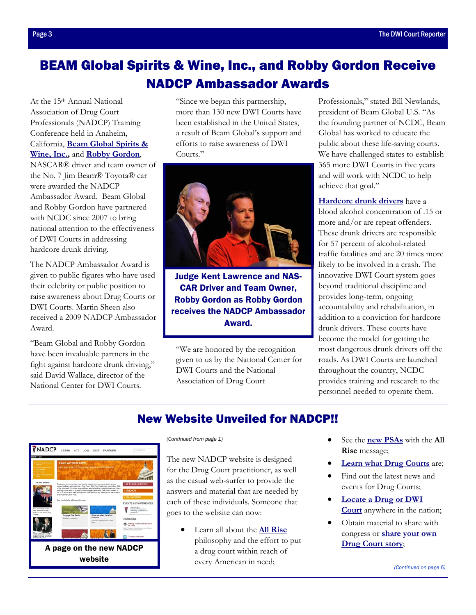# <span id="page-2-0"></span>BEAM Global Spirits & Wine, Inc., and Robby Gordon Receive NADCP Ambassador Awards

At the 15th Annual National Association of Drug Court Professionals (NADCP) Training Conference held in Anaheim, California, **[Beam Global Spirits &](http://beamglobal.com/)  [Wine, Inc.,](http://beamglobal.com/)** and **[Robby Gordon](http://robbygordon.com/)**, NASCAR® driver and team owner of

the No. 7 Jim Beam® Toyota® car were awarded the NADCP Ambassador Award. Beam Global and Robby Gordon have partnered with NCDC since 2007 to bring national attention to the effectiveness of DWI Courts in addressing hardcore drunk driving.

The NADCP Ambassador Award is given to public figures who have used their celebrity or public position to raise awareness about Drug Courts or DWI Courts. Martin Sheen also received a 2009 NADCP Ambassador Award.

"Beam Global and Robby Gordon have been invaluable partners in the fight against hardcore drunk driving," said David Wallace, director of the National Center for DWI Courts.

"Since we began this partnership, more than 130 new DWI Courts have been established in the United States, a result of Beam Global's support and efforts to raise awareness of DWI Courts<sup>"</sup>



Judge Kent Lawrence and NAS-CAR Driver and Team Owner, Robby Gordon as Robby Gordon receives the NADCP Ambassador Award.

"We are honored by the recognition given to us by the National Center for DWI Courts and the National Association of Drug Court

Professionals," stated Bill Newlands, president of Beam Global U.S. "As the founding partner of NCDC, Beam Global has worked to educate the public about these life-saving courts. We have challenged states to establish 365 more DWI Courts in five years and will work with NCDC to help achieve that goal."

**[Hardcore drunk drivers](http://www.dwicourts.org/learn/about-dwi-courts/facts/impaired-driving)** have a blood alcohol concentration of .15 or more and/or are repeat offenders. These drunk drivers are responsible for 57 percent of alcohol-related traffic fatalities and are 20 times more likely to be involved in a crash. The innovative DWI Court system goes beyond traditional discipline and provides long-term, ongoing accountability and rehabilitation, in addition to a conviction for hardcore drunk drivers. These courts have become the model for getting the most dangerous drunk drivers off the roads. As DWI Courts are launched throughout the country, NCDC provides training and research to the personnel needed to operate them.

## New Website Unveiled for NADCP!!



The new NADCP website is designed for the Drug Court practitioner, as well as the casual web-surfer to provide the answers and material that are needed by each of these individuals. Someone that goes to the website can now:

> • Learn all about the **All Rise** philosophy and the effort to put a drug court within reach of every American in need;

- *[\(Continued from page 1\)](#page-0-0)*  See the **new PSAs** with the **All Rise** message;
	- **Learn what Drug Courts** are;
	- Find out the latest news and events for Drug Courts;
	- **Locate a Drug or DWI Court** anywhere in the nation;
	- Obtain material to share with congress or **share your own Drug Court story**;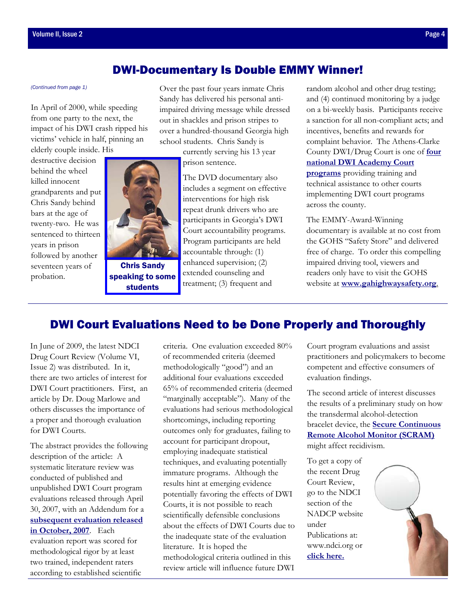### DWI-Documentary Is Double EMMY Winner!

In April of 2000, while speeding from one party to the next, the impact of his DWI crash ripped his victims' vehicle in half, pinning an elderly couple inside. His

destructive decision behind the wheel killed innocent grandparents and put Chris Sandy behind bars at the age of twenty-two. He was sentenced to thirteen years in prison followed by another seventeen years of probation.



speaking to some students

<span id="page-3-0"></span>*[\(Continued from page 1\)](#page-0-0)* Over the past four years inmate Chris Sandy has delivered his personal antiimpaired driving message while dressed out in shackles and prison stripes to over a hundred-thousand Georgia high school students. Chris Sandy is

> currently serving his 13 year prison sentence.

The DVD documentary also includes a segment on effective interventions for high risk repeat drunk drivers who are participants in Georgia's DWI Court accountability programs. Program participants are held accountable through: (1) enhanced supervision; (2) extended counseling and treatment; (3) frequent and

random alcohol and other drug testing; and (4) continued monitoring by a judge on a bi-weekly basis. Participants receive a sanction for all non-compliant acts; and incentives, benefits and rewards for complaint behavior. The Athens-Clarke [County DWI/Drug Court is one of](http://www.dwicourts.org/learn/about-dwi-courts/dwi-academy-courts) **four national DWI Academy Court programs** providing training and technical assistance to other courts implementing DWI court programs across the county.

The EMMY-Award-Winning documentary is available at no cost from the GOHS "Safety Store" and delivered free of charge. To order this compelling impaired driving tool, viewers and readers only have to visit the GOHS website at **[www.gahighwaysafety.org](http://www.gahighwaysafety.org/)**.

## DWI Court Evaluations Need to be Done Properly and Thoroughly

In June of 2009, the latest NDCI Drug Court Review (Volume VI, Issue 2) was distributed. In it, there are two articles of interest for DWI Court practitioners. First, an article by Dr. Doug Marlowe and others discusses the importance of a proper and thorough evaluation for DWI Courts.

The abstract provides the following description of the article: A systematic literature review was conducted of published and unpublished DWI Court program evaluations released through April 30, 2007, with an Addendum for a **subsequent evaluation released in October, 2007**. Each evaluation report was scored for methodological rigor by at least two trained, independent raters according to established scientific

criteria. One evaluation exceeded 80% of recommended criteria (deemed methodologically "good") and an additional four evaluations exceeded 65% of recommended criteria (deemed "marginally acceptable"). Many of the evaluations had serious methodological shortcomings, including reporting outcomes only for graduates, failing to account for participant dropout, employing inadequate statistical techniques, and evaluating potentially immature programs. Although the results hint at emerging evidence potentially favoring the effects of DWI Courts, it is not possible to reach scientifically defensible conclusions about the effects of DWI Courts due to the inadequate state of the evaluation literature. It is hoped the methodological criteria outlined in this review article will influence future DWI

Court program evaluations and assist practitioners and policymakers to become competent and effective consumers of evaluation findings.

The second article of interest discusses the results of a preliminary study on how the transdermal alcohol-detection bracelet device, the **Secure Continuous [Remote Alcohol Monitor \(SCRAM\)](http://www.alcoholmonitoring.com/)**  might affect recidivism.

To get a copy of the recent Drug Court Review, go to the NDCI section of the NADCP website under Publications at: www.ndci.org or **[click here.](http://www.ndci.org/sites/default/files/ncdc/DCR%2C%20Vol.%206%2C%20No.%202.pdf)** 

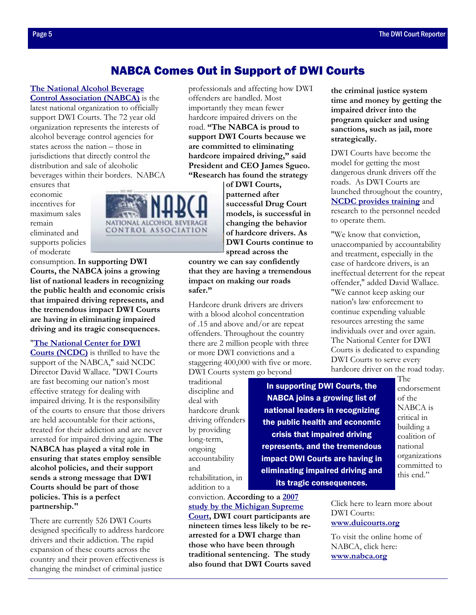### NABCA Comes Out in Support of DWI Courts

## <span id="page-4-0"></span>**[The National Alcohol Beverage](http://www.nabca.org/)**

**Control Association (NABCA)** is the latest national organization to officially support DWI Courts. The 72 year old organization represents the interests of alcohol beverage control agencies for states across the nation – those in jurisdictions that directly control the distribution and sale of alcoholic beverages within their borders. NABCA

ensures that economic incentives for maximum sales remain eliminated and supports policies of moderate



consumption. **In supporting DWI Courts, the NABCA joins a growing list of national leaders in recognizing the public health and economic crisis that impaired driving represents, and the tremendous impact DWI Courts are having in eliminating impaired driving and its tragic consequences.**

### "**[The National Center for DWI](http://www.dwicourts.org/learn/about-ncdc)**

**Courts (NCDC)** is thrilled to have the support of the NABCA," said NCDC Director David Wallace. "DWI Courts are fast becoming our nation's most effective strategy for dealing with impaired driving. It is the responsibility of the courts to ensure that those drivers are held accountable for their actions, treated for their addiction and are never arrested for impaired driving again. **The NABCA has played a vital role in ensuring that states employ sensible alcohol policies, and their support sends a strong message that DWI Courts should be part of those policies. This is a perfect partnership."**

There are currently 526 DWI Courts designed specifically to address hardcore drivers and their addiction. The rapid expansion of these courts across the country and their proven effectiveness is changing the mindset of criminal justice

professionals and affecting how DWI offenders are handled. Most importantly they mean fewer hardcore impaired drivers on the road. **"The NABCA is proud to support DWI Courts because we are committed to eliminating hardcore impaired driving," said President and CEO James Sgueo. "Research has found the strategy** 

> **of DWI Courts, patterned after successful Drug Court models, is successful in changing the behavior of hardcore drivers. As DWI Courts continue to spread across the**

**country we can say confidently that they are having a tremendous impact on making our roads safer."**

Hardcore drunk drivers are drivers with a blood alcohol concentration of .15 and above and/or are repeat offenders. Throughout the country there are 2 million people with three or more DWI convictions and a staggering 400,000 with five or more. DWI Courts system go beyond

traditional discipline and deal with hardcore drunk driving offenders by providing long-term, ongoing accountability and rehabilitation, in addition to a

conviction. **According to a 2007 study by the Michigan Supreme Court, DWI court participants are nineteen times less likely to be rearrested for a DWI charge than those who have been through traditional sentencing. The study also found that DWI Courts saved** 

**the criminal justice system time and money by getting the impaired driver into the program quicker and using sanctions, such as jail, more strategically.**

DWI Courts have become the model for getting the most dangerous drunk drivers off the roads. As DWI Courts are launched throughout the country, **[NCDC provides training](http://www.dwicourts.org/resources/training-programs)** and research to the personnel needed to operate them.

"We know that conviction, unaccompanied by accountability and treatment, especially in the case of hardcore drivers, is an ineffectual deterrent for the repeat offender," added David Wallace. "We cannot keep asking our nation's law enforcement to continue expending valuable resources arresting the same individuals over and over again. The National Center for DWI Courts is dedicated to expanding DWI Courts to serve every hardcore driver on the road today.

In supporting DWI Courts, the NABCA joins a growing list of national leaders in recognizing the public health and economic crisis that impaired driving represents, and the tremendous impact DWI Courts are having in eliminating impaired driving and its tragic consequences.

The endorsement of the NABCA is critical in building a coalition of national organizations committed to this end."

Click here to learn more about DWI Courts: **[www.duicourts.org](http://www.dwicourts.org/ncdc-home/)**

To visit the online home of NABCA, click here: **[www.nabca.org](http://www.nabca.org/)**